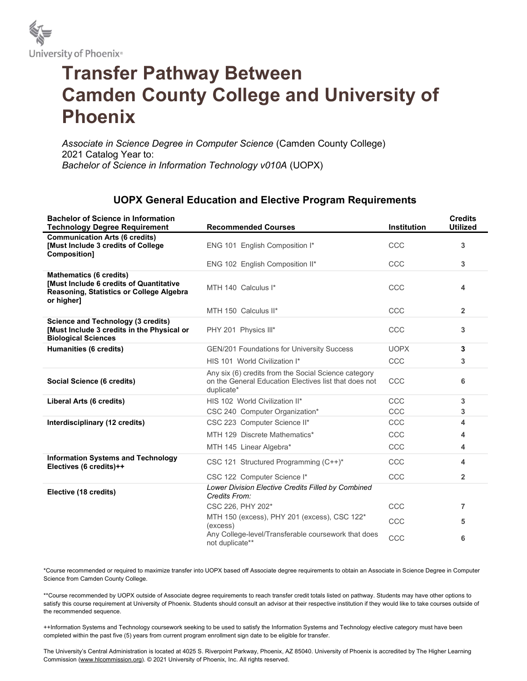

## Transfer Pathway Between Camden County College and University of Phoenix

Associate in Science Degree in Computer Science (Camden County College) 2021 Catalog Year to: Bachelor of Science in Information Technology v010A (UOPX)

## UOPX General Education and Elective Program Requirements

| <b>Bachelor of Science in Information</b><br><b>Technology Degree Requirement</b>                                                   | <b>Recommended Courses</b>                                                                                                  | Institution | <b>Credits</b><br><b>Utilized</b> |
|-------------------------------------------------------------------------------------------------------------------------------------|-----------------------------------------------------------------------------------------------------------------------------|-------------|-----------------------------------|
| <b>Communication Arts (6 credits)</b><br>[Must Include 3 credits of College<br>Composition]                                         | ENG 101 English Composition I*                                                                                              | CCC         | 3                                 |
|                                                                                                                                     | ENG 102 English Composition II*                                                                                             | CCC         | 3                                 |
| <b>Mathematics (6 credits)</b><br>[Must Include 6 credits of Quantitative<br>Reasoning, Statistics or College Algebra<br>or higher] | MTH 140 Calculus I*                                                                                                         | CCC         | 4                                 |
|                                                                                                                                     | MTH 150 Calculus II*                                                                                                        | CCC         | $\overline{\mathbf{2}}$           |
| <b>Science and Technology (3 credits)</b><br>[Must Include 3 credits in the Physical or<br><b>Biological Sciences</b>               | PHY 201 Physics III*                                                                                                        | CCC         | 3                                 |
| Humanities (6 credits)                                                                                                              | <b>GEN/201 Foundations for University Success</b>                                                                           | <b>UOPX</b> | 3                                 |
|                                                                                                                                     | HIS 101 World Civilization I*                                                                                               | CCC         | 3                                 |
| Social Science (6 credits)                                                                                                          | Any six (6) credits from the Social Science category<br>on the General Education Electives list that does not<br>duplicate* | CCC         | 6                                 |
| Liberal Arts (6 credits)                                                                                                            | HIS 102 World Civilization II*                                                                                              | CCC         | 3                                 |
|                                                                                                                                     | CSC 240 Computer Organization*                                                                                              | CCC         | 3                                 |
| Interdisciplinary (12 credits)                                                                                                      | CSC 223 Computer Science II*                                                                                                | CCC         | 4                                 |
|                                                                                                                                     | MTH 129 Discrete Mathematics*                                                                                               | CCC         | 4                                 |
|                                                                                                                                     | MTH 145 Linear Algebra*                                                                                                     | CCC         | 4                                 |
| <b>Information Systems and Technology</b><br>Electives (6 credits)++                                                                | CSC 121 Structured Programming (C++)*                                                                                       | CCC         | 4                                 |
|                                                                                                                                     | CSC 122 Computer Science I*                                                                                                 | CCC         | $\overline{\mathbf{2}}$           |
| Elective (18 credits)                                                                                                               | Lower Division Elective Credits Filled by Combined<br>Credits From:                                                         |             |                                   |
|                                                                                                                                     | CSC 226, PHY 202*                                                                                                           | CCC         | 7                                 |
|                                                                                                                                     | MTH 150 (excess), PHY 201 (excess), CSC 122*<br>(excess)                                                                    | CCC         | 5                                 |
|                                                                                                                                     | Any College-level/Transferable coursework that does<br>not duplicate**                                                      | CCC         | 6                                 |

\*Course recommended or required to maximize transfer into UOPX based off Associate degree requirements to obtain an Associate in Science Degree in Computer Science from Camden County College.

\*\*Course recommended by UOPX outside of Associate degree requirements to reach transfer credit totals listed on pathway. Students may have other options to satisfy this course requirement at University of Phoenix. Students should consult an advisor at their respective institution if they would like to take courses outside of the recommended sequence.

++Information Systems and Technology coursework seeking to be used to satisfy the Information Systems and Technology elective category must have been completed within the past five (5) years from current program enrollment sign date to be eligible for transfer.

The University's Central Administration is located at 4025 S. Riverpoint Parkway, Phoenix, AZ 85040. University of Phoenix is accredited by The Higher Learning Commission (www.hlcommission.org). © 2021 University of Phoenix, Inc. All rights reserved.